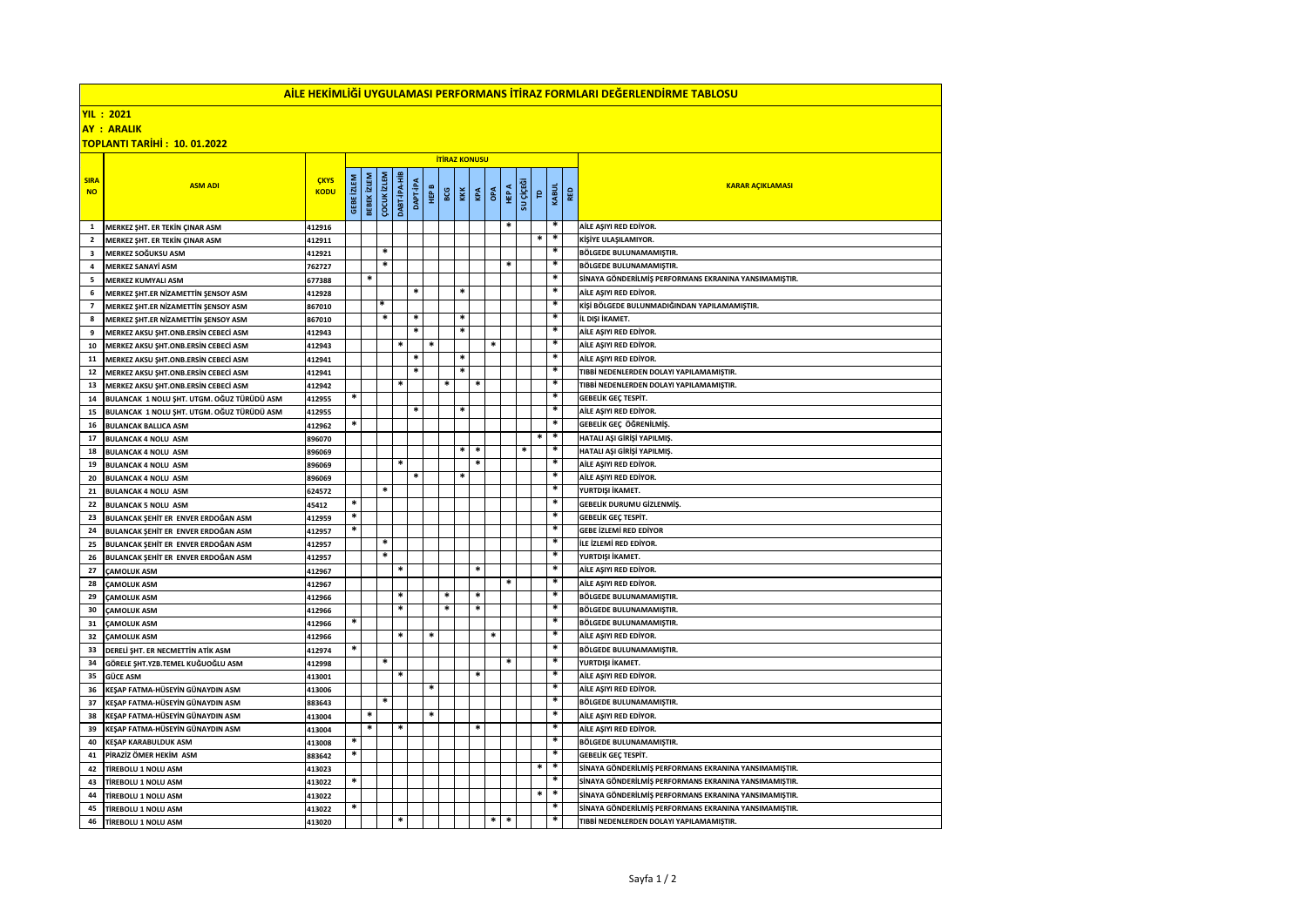| <u>AİLE HEKİMLİĞİ UYGULAMASI PERFORMANS İTİRAZ FORMLARI DEĞERLENDİRME TABLOSU</u> |                                            |                  |                   |                    |                    |              |                 |        |        |        |            |              |           |             |        |     |                                                       |
|-----------------------------------------------------------------------------------|--------------------------------------------|------------------|-------------------|--------------------|--------------------|--------------|-----------------|--------|--------|--------|------------|--------------|-----------|-------------|--------|-----|-------------------------------------------------------|
| <b>YIL: 2021</b>                                                                  |                                            |                  |                   |                    |                    |              |                 |        |        |        |            |              |           |             |        |     |                                                       |
| <b>AY : ARALIK</b>                                                                |                                            |                  |                   |                    |                    |              |                 |        |        |        |            |              |           |             |        |     |                                                       |
| <b>TOPLANTI TARİHİ: 10.01.2022</b>                                                |                                            |                  |                   |                    |                    |              |                 |        |        |        |            |              |           |             |        |     |                                                       |
| <b>ITIRAZ KONUSU</b>                                                              |                                            |                  |                   |                    |                    |              |                 |        |        |        |            |              |           |             |        |     |                                                       |
|                                                                                   |                                            |                  |                   |                    |                    |              |                 |        |        |        |            |              |           |             |        |     |                                                       |
| <b>SIRA</b>                                                                       | <b>ASM ADI</b>                             | <b>ÇKYS</b>      |                   |                    | <b>COCUK IZLEM</b> | DABT-IPA-HIB |                 |        |        |        |            |              |           |             |        | RED |                                                       |
| <b>NO</b>                                                                         |                                            | <b>KODU</b>      |                   |                    |                    |              |                 | HEP B  | BCG    | KKK    | OPA<br>KPA | <b>HEP A</b> |           | $\mathsf P$ | KABUL  |     | <b>KARAR AÇIKLAMASI</b>                               |
|                                                                                   |                                            |                  | <b>GEBE</b> İZLEM | <b>BEBEK İZLEM</b> |                    |              | <b>DAPT-IPA</b> |        |        |        |            |              | su çiçeği |             |        |     |                                                       |
|                                                                                   |                                            |                  |                   |                    |                    |              |                 |        |        |        |            |              |           |             | $\ast$ |     |                                                       |
| 1                                                                                 | MERKEZ SHT. ER TEKİN ÇINAR ASM             | 412916           |                   |                    |                    |              |                 |        |        |        |            |              |           |             | *      |     | AİLE AŞIYI RED EDİYOR.                                |
| $\overline{\mathbf{2}}$                                                           | MERKEZ ŞHT. ER TEKİN ÇINAR ASM             | 412911           |                   |                    | $\ast$             |              |                 |        |        |        |            |              |           | *           | $\ast$ |     | KİŞİYE ULAŞILAMIYOR.                                  |
| 3                                                                                 | MERKEZ SOĞUKSU ASM                         | 412921           |                   |                    | $\ast$             |              |                 |        |        |        |            |              |           |             | $\ast$ |     | <b>BÖLGEDE BULUNAMAMIŞTIR.</b>                        |
| 4                                                                                 | <b>MERKEZ SANAYİ ASM</b>                   | 762727           |                   | $\ast$             |                    |              |                 |        |        |        |            |              |           |             |        |     | BÖLGEDE BULUNAMAMIŞTIR.                               |
| 5                                                                                 | MERKEZ KUMYALI ASM                         | 677388           |                   |                    |                    |              | $\ast$          |        | $\ast$ |        |            |              |           |             | *      |     | SİNAYA GÖNDERİLMİŞ PERFORMANS EKRANINA YANSIMAMIŞTIR. |
| 6                                                                                 | MERKEZ ŞHT.ER NİZAMETTİN ŞENSOY ASM        | 412928           |                   |                    | *                  |              |                 |        |        |        |            |              |           |             | $\ast$ |     | AİLE AŞIYI RED EDİYOR.                                |
| $\overline{\phantom{a}}$                                                          | MERKEZ SHT.ER NİZAMETTİN ŞENSOY ASM        | 867010           |                   |                    | *                  |              | $\ast$          |        | $\ast$ |        |            |              |           |             |        |     | KİŞİ BÖLGEDE BULUNMADIĞINDAN YAPILAMAMIŞTIR.          |
| 8                                                                                 | MERKEZ ŞHT.ER NİZAMETTİN ŞENSOY ASM        | 867010           |                   |                    |                    |              |                 |        | $\ast$ |        |            |              |           |             | $\ast$ |     | İL DIŞI İKAMET.                                       |
| 9                                                                                 | MERKEZ AKSU SHT.ONB.ERSİN CEBECİ ASM       | 412943           |                   |                    |                    | *            |                 | $\ast$ |        |        | $\ast$     |              |           |             | $\ast$ |     | AİLE AŞIYI RED EDİYOR.                                |
| 10                                                                                | MERKEZ AKSU ŞHT.ONB.ERSİN CEBECİ ASM       | 412943           |                   |                    |                    |              | $\ast$          |        | $\ast$ |        |            |              |           |             |        |     | AİLE AŞIYI RED EDİYOR                                 |
| 11                                                                                | MERKEZ AKSU ŞHT.ONB.ERSİN CEBECİ ASM       | 412941           |                   |                    |                    |              | $\ast$          |        | $\ast$ |        |            |              |           |             | $\ast$ |     | AILE ASIYI RED EDIYOR.                                |
| 12                                                                                | MERKEZ AKSU ŞHT.ONB.ERSİN CEBECİ ASM       | 412941           |                   |                    |                    | $\ast$       |                 |        | $\ast$ | $\ast$ |            |              |           |             |        |     | TIBBİ NEDENLERDEN DOLAYI YAPILAMAMIŞTIR.              |
| 13                                                                                | MERKEZ AKSU ŞHT.ONB.ERSİN CEBECİ ASM       | 412942           | *                 |                    |                    |              |                 |        |        |        |            |              |           |             | *      |     | TIBBİ NEDENLERDEN DOLAYI YAPILAMAMIŞTIR.              |
| 14                                                                                | BULANCAK 1 NOLU ŞHT. UTGM. OĞUZ TÜRÜDÜ ASM | 412955           |                   |                    |                    |              | $\ast$          |        | $\ast$ |        |            |              |           |             |        |     | GEBELIK GEÇ TESPİT.<br>AİLE AŞIYI RED EDİYOR.         |
| 15                                                                                | BULANCAK 1 NOLU ŞHT. UTGM. OĞUZ TÜRÜDÜ ASM | 412955           | *                 |                    |                    |              |                 |        |        |        |            |              |           |             | $\ast$ |     |                                                       |
| 16                                                                                | <b>BULANCAK BALLICA ASM</b>                | 412962           |                   |                    |                    |              |                 |        |        |        |            |              |           | $\ast$      | *      |     | GEBELİK GEÇ ÖĞRENİLMİŞ.                               |
| 17                                                                                | <b>BULANCAK 4 NOLU ASM</b>                 | 896070           |                   |                    |                    |              |                 |        | $\ast$ | $\ast$ |            |              | $\ast$    |             |        |     | HATALI AŞI GİRİŞİ YAPILMIŞ.                           |
| 18                                                                                | <b>BULANCAK 4 NOLU ASM</b>                 | 896069           |                   |                    |                    | $\ast$       |                 |        |        | $\ast$ |            |              |           |             | $\ast$ |     | HATALI AŞI GİRİŞİ YAPILMIŞ.<br>AİLE AŞIYI RED EDİYOR  |
| 19                                                                                | <b>BULANCAK 4 NOLU ASM</b>                 | 896069           |                   |                    |                    |              |                 |        | $\ast$ |        |            |              |           |             | $\ast$ |     |                                                       |
| 20                                                                                | <b>BULANCAK 4 NOLU ASM</b>                 | 896069           |                   |                    | $\ast$             |              |                 |        |        |        |            |              |           |             |        |     | AİLE AŞIYI RED EDİYOR.                                |
| 21<br>22                                                                          | <b>BULANCAK 4 NOLU ASM</b>                 | 624572           | $\ast$            |                    |                    |              |                 |        |        |        |            |              |           |             | $\ast$ |     | YURTDIŞI İKAMET.<br>GEBELİK DURUMU GİZLENMİŞ.         |
|                                                                                   | <b>BULANCAK 5 NOLU ASM</b>                 | 45412            | *                 |                    |                    |              |                 |        |        |        |            |              |           |             | $\ast$ |     | <b>GEBELIK GEC TESPIT.</b>                            |
| 23                                                                                | BULANCAK ŞEHİT ER ENVER ERDOĞAN ASM        | 412959           | $\ast$            |                    |                    |              |                 |        |        |        |            |              |           |             |        |     | <b>GEBE İZLEMİ RED EDİYOR</b>                         |
| 24<br>25                                                                          | BULANCAK ŞEHİT ER ENVER ERDOĞAN ASM        | 412957           |                   |                    | $\ast$             |              |                 |        |        |        |            |              |           |             |        |     | <b>İLE İZLEMİ RED EDİYOR.</b>                         |
|                                                                                   | BULANCAK ŞEHİT ER ENVER ERDOĞAN ASM        | 412957           |                   |                    | $\ast$             |              |                 |        |        |        |            |              |           |             | $\ast$ |     | YURTDIŞI İKAMET.                                      |
| 26<br>27                                                                          | BULANCAK ŞEHİT ER ENVER ERDOĞAN ASM        | 412957           |                   |                    |                    | $\ast$       |                 |        |        | $\ast$ |            |              |           |             |        |     | AİLE AŞIYI RED EDİYOR.                                |
| 28                                                                                | CAMOLUK ASM<br><b>CAMOLUK ASM</b>          | 412967<br>412967 |                   |                    |                    |              |                 |        |        |        |            |              |           |             |        |     | AİLE AŞIYI RED EDİYOR.                                |
| 29                                                                                |                                            |                  |                   |                    |                    | $\ast$       |                 |        | *      | *      |            |              |           |             | *      |     | BÖLGEDE BULUNAMAMIŞTIR.                               |
| 30                                                                                | <b>ÇAMOLUK ASM</b>                         | 412966           |                   |                    |                    | $\ast$       |                 |        | $\ast$ | $\ast$ |            |              |           |             | $\ast$ |     | BÖLGEDE BULUNAMAMIŞTIR.                               |
| 31                                                                                | CAMOLUK ASM<br><b>CAMOLUK ASM</b>          | 412966<br>412966 | *                 |                    |                    |              |                 |        |        |        |            |              |           |             |        |     | BÖLGEDE BULUNAMAMIŞTIR.                               |
| 32                                                                                | <b>ÇAMOLUK ASM</b>                         | 412966           |                   |                    |                    | *            |                 | $\ast$ |        |        | $\ast$     |              |           |             | *      |     | AİLE AŞIYI RED EDİYOR.                                |
| 33                                                                                | DERELİ ŞHT. ER NECMETTİN ATİK ASM          | 412974           | $\ast$            |                    |                    |              |                 |        |        |        |            |              |           |             |        |     | BÖLGEDE BULUNAMAMIŞTIR.                               |
| 34                                                                                | GÖRELE ŞHT.YZB.TEMEL KUĞUOĞLU ASM          | 412998           |                   |                    | *                  |              |                 |        |        |        |            |              |           |             |        |     | YURTDIŞI İKAMET.                                      |
| 35                                                                                | <b>GÜCE ASM</b>                            | 413001           |                   |                    |                    | $\ast$       |                 |        |        | $\ast$ |            |              |           |             | *      |     | AİLE AŞIYI RED EDİYOR.                                |
| 36                                                                                | KEŞAP FATMA-HÜSEYİN GÜNAYDIN ASM           | 413006           |                   |                    |                    |              |                 | $\ast$ |        |        |            |              |           |             | $\ast$ |     | AİLE AŞIYI RED EDİYOR                                 |
| 37                                                                                | KEŞAP FATMA-HÜSEYİN GÜNAYDIN ASM           | 883643           |                   |                    | $\ast$             |              |                 |        |        |        |            |              |           |             |        |     | BÖLGEDE BULUNAMAMIŞTIR.                               |
| 38                                                                                | KEŞAP FATMA-HÜSEYİN GÜNAYDIN ASM           | 413004           |                   | $\ast$             |                    |              |                 | *      |        |        |            |              |           |             |        |     | AİLE AŞIYI RED EDİYOR.                                |
| 39                                                                                | KEŞAP FATMA-HÜSEYİN GÜNAYDIN ASM           | 413004           |                   | $\ast$             |                    | $\ast$       |                 |        |        | $\ast$ |            |              |           |             | $\ast$ |     | AİLE AŞIYI RED EDİYOR.                                |
| 40                                                                                | <b>KEŞAP KARABULDUK ASM</b>                | 413008           |                   |                    |                    |              |                 |        |        |        |            |              |           |             |        |     | BÖLGEDE BULUNAMAMIŞTIR.                               |
| 41                                                                                | PİRAZİZ ÖMER HEKİM ASM                     | 883642           | $\ast$            |                    |                    |              |                 |        |        |        |            |              |           |             |        |     | <b>GEBELIK GEC TESPIT.</b>                            |
| 42                                                                                | TİREBOLU 1 NOLU ASM                        | 413023           |                   |                    |                    |              |                 |        |        |        |            |              |           | *           | $\ast$ |     | SİNAYA GÖNDERİLMİŞ PERFORMANS EKRANINA YANSIMAMIŞTIR. |
| 43                                                                                | TİREBOLU 1 NOLU ASM                        | 413022           |                   |                    |                    |              |                 |        |        |        |            |              |           |             |        |     | SİNAYA GÖNDERİLMİŞ PERFORMANS EKRANINA YANSIMAMIŞTIR. |
| 44                                                                                | TİREBOLU 1 NOLU ASM                        | 413022           |                   |                    |                    |              |                 |        |        |        |            |              |           | $\ast$      | *      |     | SİNAYA GÖNDERİLMİŞ PERFORMANS EKRANINA YANSIMAMIŞTIR. |
| 45                                                                                | TİREBOLU 1 NOLU ASM                        | 413022           | *                 |                    |                    |              |                 |        |        |        |            |              |           |             | *      |     | SİNAYA GÖNDERİLMİŞ PERFORMANS EKRANINA YANSIMAMIŞTIR. |
| 46                                                                                | <b>TİREBOLU 1 NOLU ASM</b>                 | 413020           |                   |                    |                    | *            |                 |        |        |        | $\ast$     | $\ast$       |           |             | $\ast$ |     | TIBBİ NEDENLERDEN DOLAYI YAPILAMAMIŞTIR.              |
|                                                                                   |                                            |                  |                   |                    |                    |              |                 |        |        |        |            |              |           |             |        |     |                                                       |